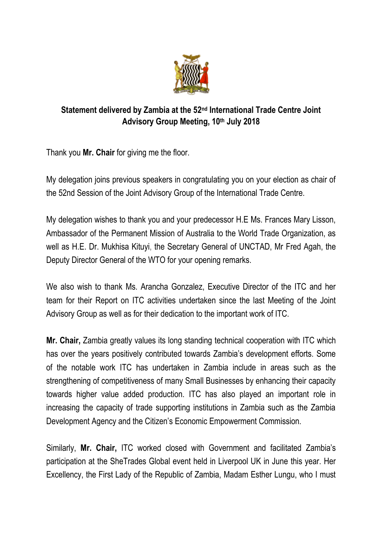

## **Statement delivered by Zambia at the 52<sup>nd</sup> International Trade Centre Joint Advisory Group Meeting, 10th July 2018**

Thank you **Mr. Chair** for giving me the floor.

My delegation joins previous speakers in congratulating you on your election as chair of the 52nd Session of the Joint Advisory Group of the International Trade Centre.

My delegation wishes to thank you and your predecessor H.E Ms. Frances Mary Lisson, Ambassador of the Permanent Mission of Australia to the World Trade Organization, as well as H.E. Dr. Mukhisa Kituyi, the Secretary General of UNCTAD, Mr Fred Agah, the Deputy Director General of the WTO for your opening remarks.

We also wish to thank Ms. Arancha Gonzalez, Executive Director of the ITC and her team for their Report on ITC activities undertaken since the last Meeting of the Joint Advisory Group as well as for their dedication to the important work of ITC.

**Mr. Chair,** Zambia greatly values its long standing technical cooperation with ITC which has over the years positively contributed towards Zambia's development efforts. Some of the notable work ITC has undertaken in Zambia include in areas such as the strengthening of competitiveness of many Small Businesses by enhancing their capacity towards higher value added production. ITC has also played an important role in increasing the capacity of trade supporting institutions in Zambia such as the Zambia Development Agency and the Citizen's Economic Empowerment Commission.

Similarly, **Mr. Chair,** ITC worked closed with Government and facilitated Zambia's participation at the SheTrades Global event held in Liverpool UK in June this year. Her Excellency, the First Lady of the Republic of Zambia, Madam Esther Lungu, who I must